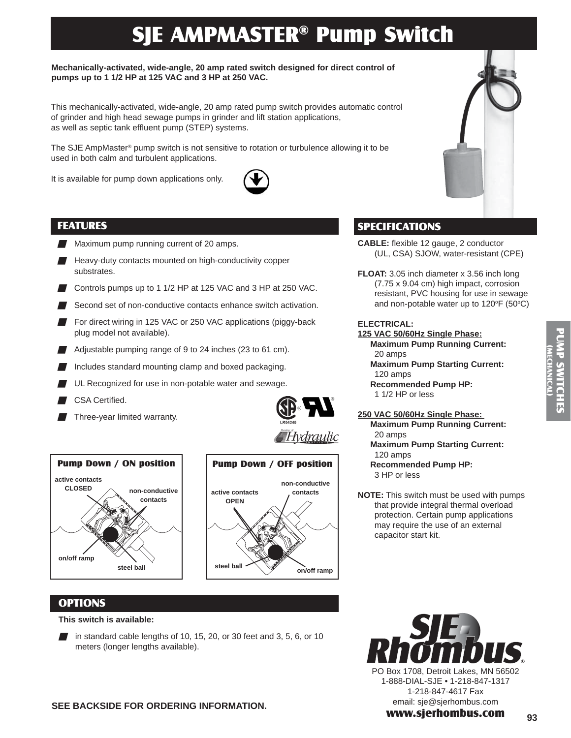# SJE AMPMASTER® Pump Switch

## **Mechanically-activated, wide-angle, 20 amp rated switch designed for direct control of pumps up to 1 1/2 HP at 125 VAC and 3 HP at 250 VAC.**

This mechanically-activated, wide-angle, 20 amp rated pump switch provides automatic control of grinder and high head sewage pumps in grinder and lift station applications, as well as septic tank effluent pump (STEP) systems.

The SJE AmpMaster® pump switch is not sensitive to rotation or turbulence allowing it to be used in both calm and turbulent applications.

It is available for pump down applications only.



## FEATURES

- Maximum pump running current of 20 amps.
- $\blacksquare$  Heavy-duty contacts mounted on high-conductivity copper substrates.
- Controls pumps up to 1 1/2 HP at 125 VAC and 3 HP at 250 VAC.
- Second set of non-conductive contacts enhance switch activation.
- For direct wiring in 125 VAC or 250 VAC applications (piggy-back plug model not available).
- Adjustable pumping range of 9 to 24 inches (23 to 61 cm).
- $\blacksquare$  Includes standard mounting clamp and boxed packaging.
- UL Recognized for use in non-potable water and sewage.
- CSA Certified.
- Three-year limited warranty.







## **OPTIONS**

#### **This switch is available:**

in standard cable lengths of 10, 15, 20, or 30 feet and 3, 5, 6, or 10 meters (longer lengths available).

# SPECIFICATIONS

- **CABLE:** flexible 12 gauge, 2 conductor (UL, CSA) SJOW, water-resistant (CPE)
- **FLOAT:** 3.05 inch diameter x 3.56 inch long (7.75 x 9.04 cm) high impact, corrosion resistant, PVC housing for use in sewage and non-potable water up to 120 $\mathrm{^{\circ}F}$  (50 $\mathrm{^{\circ}C})$

## **ELECTRICAL:**

- **125 VAC 50/60Hz Single Phase: Maximum Pump Running Current:**  20 amps
	- **Maximum Pump Starting Current:**  120 amps **Recommended Pump HP:**
	- 1 1/2 HP or less

**250 VAC 50/60Hz Single Phase: Maximum Pump Running Current:**  20 amps **Maximum Pump Starting Current:**  120 amps  **Recommended Pump HP:** 

- 3 HP or less
- **NOTE:** This switch must be used with pumps that provide integral thermal overload protection. Certain pump applications may require the use of an external capacitor start kit.